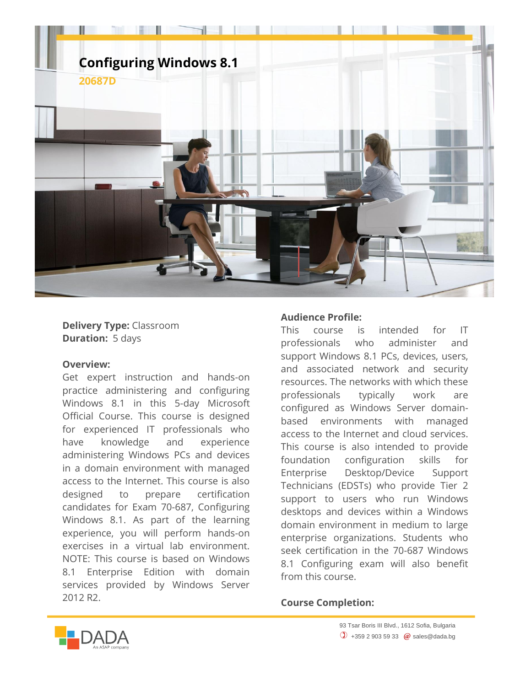

**Delivery Type:** Classroom **Duration:** 5 days

## **Overview:**

Get expert instruction and hands-on practice administering and configuring Windows 8.1 in this 5-day Microsoft Official Course. This course is designed for experienced IT professionals who have knowledge and experience administering Windows PCs and devices in a domain environment with managed access to the Internet. This course is also designed to prepare certification candidates for Exam 70-687, Configuring Windows 8.1. As part of the learning experience, you will perform hands-on exercises in a virtual lab environment. NOTE: This course is based on Windows 8.1 Enterprise Edition with domain services provided by Windows Server 2012 R2.

## **Audience Profile:**

This course is intended for IT professionals who administer and support Windows 8.1 PCs, devices, users, and associated network and security resources. The networks with which these professionals typically work are configured as Windows Server domainbased environments with managed access to the Internet and cloud services. This course is also intended to provide foundation configuration skills for Enterprise Desktop/Device Support Technicians (EDSTs) who provide Tier 2 support to users who run Windows desktops and devices within a Windows domain environment in medium to large enterprise organizations. Students who seek certification in the 70-687 Windows 8.1 Configuring exam will also benefit from this course.

## **Course Completion:**